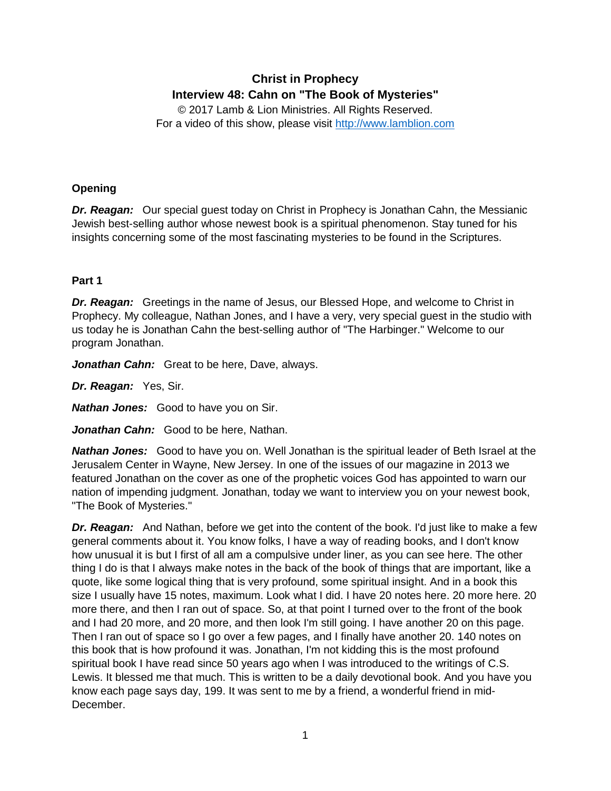# **Christ in Prophecy Interview 48: Cahn on "The Book of Mysteries"**

© 2017 Lamb & Lion Ministries. All Rights Reserved. For a video of this show, please visit [http://www.lamblion.com](http://www.lamblion.com/)

# **Opening**

*Dr. Reagan:* Our special guest today on Christ in Prophecy is Jonathan Cahn, the Messianic Jewish best-selling author whose newest book is a spiritual phenomenon. Stay tuned for his insights concerning some of the most fascinating mysteries to be found in the Scriptures.

## **Part 1**

*Dr. Reagan:* Greetings in the name of Jesus, our Blessed Hope, and welcome to Christ in Prophecy. My colleague, Nathan Jones, and I have a very, very special guest in the studio with us today he is Jonathan Cahn the best-selling author of "The Harbinger." Welcome to our program Jonathan.

*Jonathan Cahn:* Great to be here, Dave, always.

*Dr. Reagan:* Yes, Sir.

*Nathan Jones:* Good to have you on Sir.

*Jonathan Cahn:* Good to be here, Nathan.

*Nathan Jones:* Good to have you on. Well Jonathan is the spiritual leader of Beth Israel at the Jerusalem Center in Wayne, New Jersey. In one of the issues of our magazine in 2013 we featured Jonathan on the cover as one of the prophetic voices God has appointed to warn our nation of impending judgment. Jonathan, today we want to interview you on your newest book, "The Book of Mysteries."

*Dr. Reagan:* And Nathan, before we get into the content of the book. I'd just like to make a few general comments about it. You know folks, I have a way of reading books, and I don't know how unusual it is but I first of all am a compulsive under liner, as you can see here. The other thing I do is that I always make notes in the back of the book of things that are important, like a quote, like some logical thing that is very profound, some spiritual insight. And in a book this size I usually have 15 notes, maximum. Look what I did. I have 20 notes here. 20 more here. 20 more there, and then I ran out of space. So, at that point I turned over to the front of the book and I had 20 more, and 20 more, and then look I'm still going. I have another 20 on this page. Then I ran out of space so I go over a few pages, and I finally have another 20. 140 notes on this book that is how profound it was. Jonathan, I'm not kidding this is the most profound spiritual book I have read since 50 years ago when I was introduced to the writings of C.S. Lewis. It blessed me that much. This is written to be a daily devotional book. And you have you know each page says day, 199. It was sent to me by a friend, a wonderful friend in mid-December.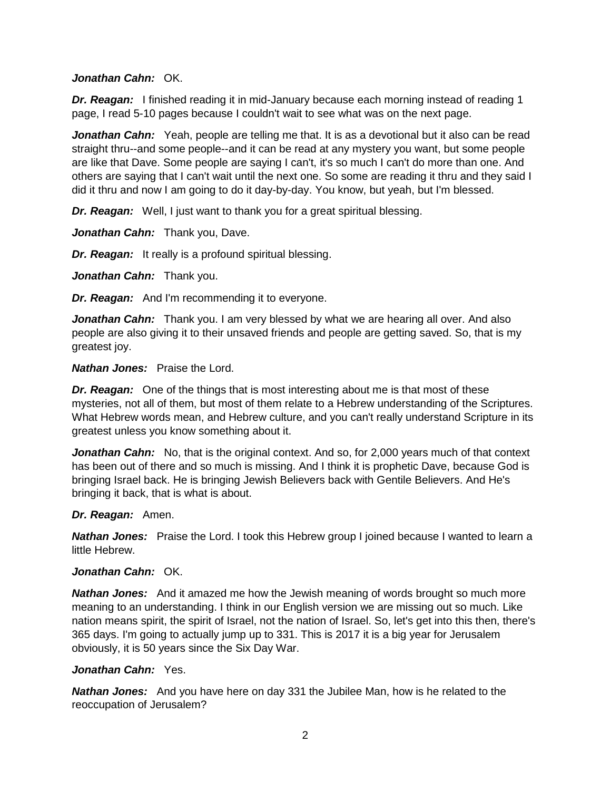#### *Jonathan Cahn:* OK.

*Dr. Reagan:* I finished reading it in mid-January because each morning instead of reading 1 page, I read 5-10 pages because I couldn't wait to see what was on the next page.

**Jonathan Cahn:** Yeah, people are telling me that. It is as a devotional but it also can be read straight thru--and some people--and it can be read at any mystery you want, but some people are like that Dave. Some people are saying I can't, it's so much I can't do more than one. And others are saying that I can't wait until the next one. So some are reading it thru and they said I did it thru and now I am going to do it day-by-day. You know, but yeah, but I'm blessed.

*Dr. Reagan:* Well, I just want to thank you for a great spiritual blessing.

*Jonathan Cahn:* Thank you, Dave.

*Dr. Reagan:* It really is a profound spiritual blessing.

*Jonathan Cahn:* Thank you.

*Dr. Reagan:* And I'm recommending it to everyone.

**Jonathan Cahn:** Thank you. I am very blessed by what we are hearing all over. And also people are also giving it to their unsaved friends and people are getting saved. So, that is my greatest joy.

#### *Nathan Jones:* Praise the Lord.

*Dr. Reagan:* One of the things that is most interesting about me is that most of these mysteries, not all of them, but most of them relate to a Hebrew understanding of the Scriptures. What Hebrew words mean, and Hebrew culture, and you can't really understand Scripture in its greatest unless you know something about it.

**Jonathan Cahn:** No, that is the original context. And so, for 2,000 years much of that context has been out of there and so much is missing. And I think it is prophetic Dave, because God is bringing Israel back. He is bringing Jewish Believers back with Gentile Believers. And He's bringing it back, that is what is about.

## *Dr. Reagan:* Amen.

*Nathan Jones:* Praise the Lord. I took this Hebrew group I joined because I wanted to learn a little Hebrew.

#### *Jonathan Cahn:* OK.

*Nathan Jones:* And it amazed me how the Jewish meaning of words brought so much more meaning to an understanding. I think in our English version we are missing out so much. Like nation means spirit, the spirit of Israel, not the nation of Israel. So, let's get into this then, there's 365 days. I'm going to actually jump up to 331. This is 2017 it is a big year for Jerusalem obviously, it is 50 years since the Six Day War.

## *Jonathan Cahn:* Yes.

*Nathan Jones:* And you have here on day 331 the Jubilee Man, how is he related to the reoccupation of Jerusalem?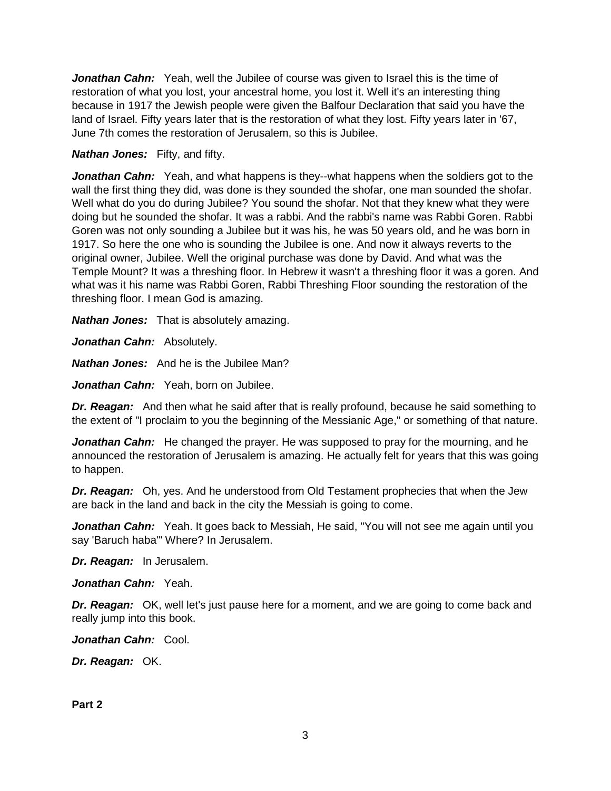*Jonathan Cahn:* Yeah, well the Jubilee of course was given to Israel this is the time of restoration of what you lost, your ancestral home, you lost it. Well it's an interesting thing because in 1917 the Jewish people were given the Balfour Declaration that said you have the land of Israel. Fifty years later that is the restoration of what they lost. Fifty years later in '67, June 7th comes the restoration of Jerusalem, so this is Jubilee.

#### *Nathan Jones:* Fifty, and fifty.

*Jonathan Cahn:* Yeah, and what happens is they--what happens when the soldiers got to the wall the first thing they did, was done is they sounded the shofar, one man sounded the shofar. Well what do you do during Jubilee? You sound the shofar. Not that they knew what they were doing but he sounded the shofar. It was a rabbi. And the rabbi's name was Rabbi Goren. Rabbi Goren was not only sounding a Jubilee but it was his, he was 50 years old, and he was born in 1917. So here the one who is sounding the Jubilee is one. And now it always reverts to the original owner, Jubilee. Well the original purchase was done by David. And what was the Temple Mount? It was a threshing floor. In Hebrew it wasn't a threshing floor it was a goren. And what was it his name was Rabbi Goren, Rabbi Threshing Floor sounding the restoration of the threshing floor. I mean God is amazing.

*Nathan Jones:* That is absolutely amazing.

*Jonathan Cahn:* Absolutely.

*Nathan Jones:* And he is the Jubilee Man?

*Jonathan Cahn:* Yeah, born on Jubilee.

**Dr. Reagan:** And then what he said after that is really profound, because he said something to the extent of "I proclaim to you the beginning of the Messianic Age," or something of that nature.

*Jonathan Cahn:* He changed the prayer. He was supposed to pray for the mourning, and he announced the restoration of Jerusalem is amazing. He actually felt for years that this was going to happen.

*Dr. Reagan:* Oh, yes. And he understood from Old Testament prophecies that when the Jew are back in the land and back in the city the Messiah is going to come.

Jonathan Cahn: Yeah. It goes back to Messiah, He said, "You will not see me again until you say 'Baruch haba'" Where? In Jerusalem.

*Dr. Reagan:* In Jerusalem.

*Jonathan Cahn:* Yeah.

**Dr. Reagan:** OK, well let's just pause here for a moment, and we are going to come back and really jump into this book.

*Jonathan Cahn:* Cool.

*Dr. Reagan:* OK.

**Part 2**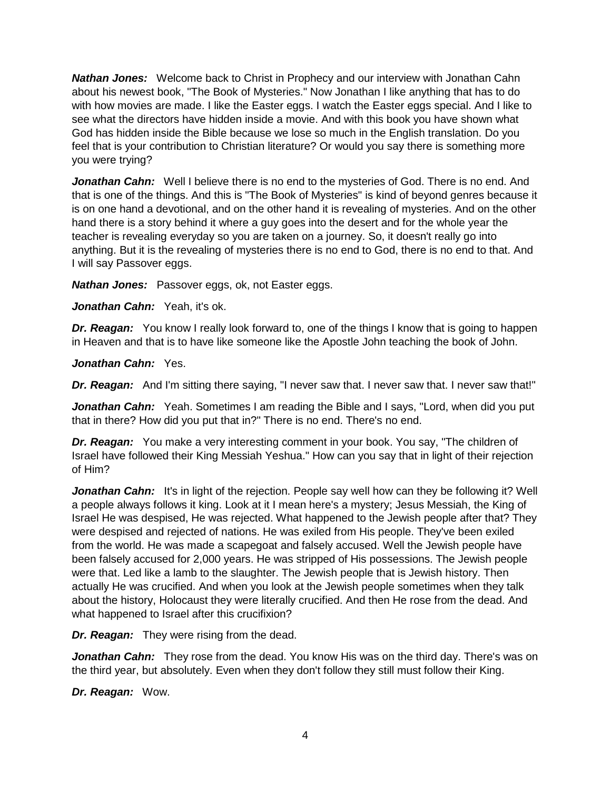*Nathan Jones:* Welcome back to Christ in Prophecy and our interview with Jonathan Cahn about his newest book, "The Book of Mysteries." Now Jonathan I like anything that has to do with how movies are made. I like the Easter eggs. I watch the Easter eggs special. And I like to see what the directors have hidden inside a movie. And with this book you have shown what God has hidden inside the Bible because we lose so much in the English translation. Do you feel that is your contribution to Christian literature? Or would you say there is something more you were trying?

Jonathan Cahn: Well I believe there is no end to the mysteries of God. There is no end. And that is one of the things. And this is "The Book of Mysteries" is kind of beyond genres because it is on one hand a devotional, and on the other hand it is revealing of mysteries. And on the other hand there is a story behind it where a guy goes into the desert and for the whole year the teacher is revealing everyday so you are taken on a journey. So, it doesn't really go into anything. But it is the revealing of mysteries there is no end to God, there is no end to that. And I will say Passover eggs.

*Nathan Jones:* Passover eggs, ok, not Easter eggs.

Jonathan Cahn: Yeah, it's ok.

*Dr. Reagan:* You know I really look forward to, one of the things I know that is going to happen in Heaven and that is to have like someone like the Apostle John teaching the book of John.

*Jonathan Cahn:* Yes.

*Dr. Reagan:* And I'm sitting there saying, "I never saw that. I never saw that. I never saw that!"

**Jonathan Cahn:** Yeah. Sometimes I am reading the Bible and I says, "Lord, when did you put that in there? How did you put that in?" There is no end. There's no end.

*Dr. Reagan:* You make a very interesting comment in your book. You say, "The children of Israel have followed their King Messiah Yeshua." How can you say that in light of their rejection of Him?

**Jonathan Cahn:** It's in light of the rejection. People say well how can they be following it? Well a people always follows it king. Look at it I mean here's a mystery; Jesus Messiah, the King of Israel He was despised, He was rejected. What happened to the Jewish people after that? They were despised and rejected of nations. He was exiled from His people. They've been exiled from the world. He was made a scapegoat and falsely accused. Well the Jewish people have been falsely accused for 2,000 years. He was stripped of His possessions. The Jewish people were that. Led like a lamb to the slaughter. The Jewish people that is Jewish history. Then actually He was crucified. And when you look at the Jewish people sometimes when they talk about the history, Holocaust they were literally crucified. And then He rose from the dead. And what happened to Israel after this crucifixion?

*Dr. Reagan:* They were rising from the dead.

*Jonathan Cahn:* They rose from the dead. You know His was on the third day. There's was on the third year, but absolutely. Even when they don't follow they still must follow their King.

*Dr. Reagan:* Wow.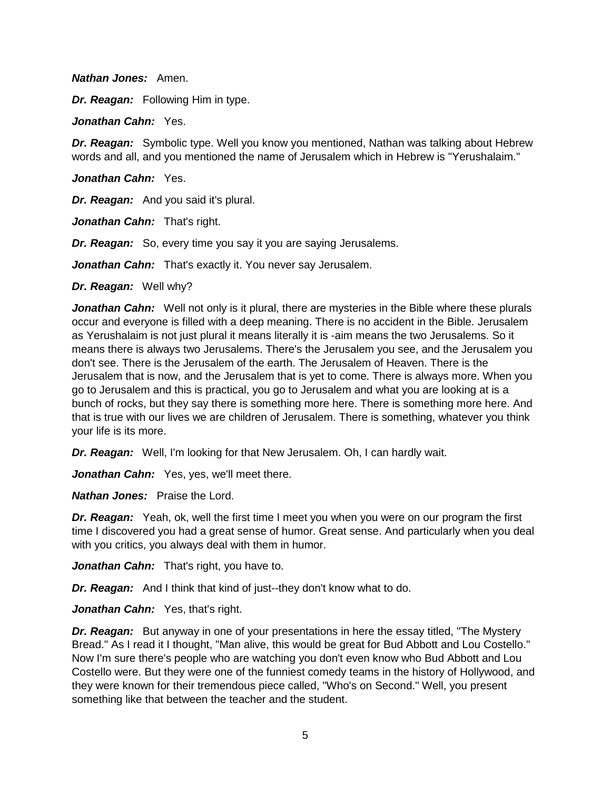#### *Nathan Jones:* Amen.

*Dr. Reagan:* Following Him in type.

*Jonathan Cahn:* Yes.

*Dr. Reagan:* Symbolic type. Well you know you mentioned, Nathan was talking about Hebrew words and all, and you mentioned the name of Jerusalem which in Hebrew is "Yerushalaim."

*Jonathan Cahn:* Yes.

*Dr. Reagan:* And you said it's plural.

*Jonathan Cahn:* That's right.

*Dr. Reagan:* So, every time you say it you are saying Jerusalems.

*Jonathan Cahn:* That's exactly it. You never say Jerusalem.

*Dr. Reagan:* Well why?

*Jonathan Cahn:* Well not only is it plural, there are mysteries in the Bible where these plurals occur and everyone is filled with a deep meaning. There is no accident in the Bible. Jerusalem as Yerushalaim is not just plural it means literally it is -aim means the two Jerusalems. So it means there is always two Jerusalems. There's the Jerusalem you see, and the Jerusalem you don't see. There is the Jerusalem of the earth. The Jerusalem of Heaven. There is the Jerusalem that is now, and the Jerusalem that is yet to come. There is always more. When you go to Jerusalem and this is practical, you go to Jerusalem and what you are looking at is a bunch of rocks, but they say there is something more here. There is something more here. And that is true with our lives we are children of Jerusalem. There is something, whatever you think your life is its more.

*Dr. Reagan:* Well, I'm looking for that New Jerusalem. Oh, I can hardly wait.

Jonathan Cahn: Yes, yes, we'll meet there.

*Nathan Jones:* Praise the Lord.

*Dr. Reagan:* Yeah, ok, well the first time I meet you when you were on our program the first time I discovered you had a great sense of humor. Great sense. And particularly when you deal with you critics, you always deal with them in humor.

*Jonathan Cahn:* That's right, you have to.

*Dr. Reagan:* And I think that kind of just--they don't know what to do.

Jonathan Cahn: Yes, that's right.

**Dr. Reagan:** But anyway in one of your presentations in here the essay titled, "The Mystery Bread." As I read it I thought, "Man alive, this would be great for Bud Abbott and Lou Costello." Now I'm sure there's people who are watching you don't even know who Bud Abbott and Lou Costello were. But they were one of the funniest comedy teams in the history of Hollywood, and they were known for their tremendous piece called, "Who's on Second." Well, you present something like that between the teacher and the student.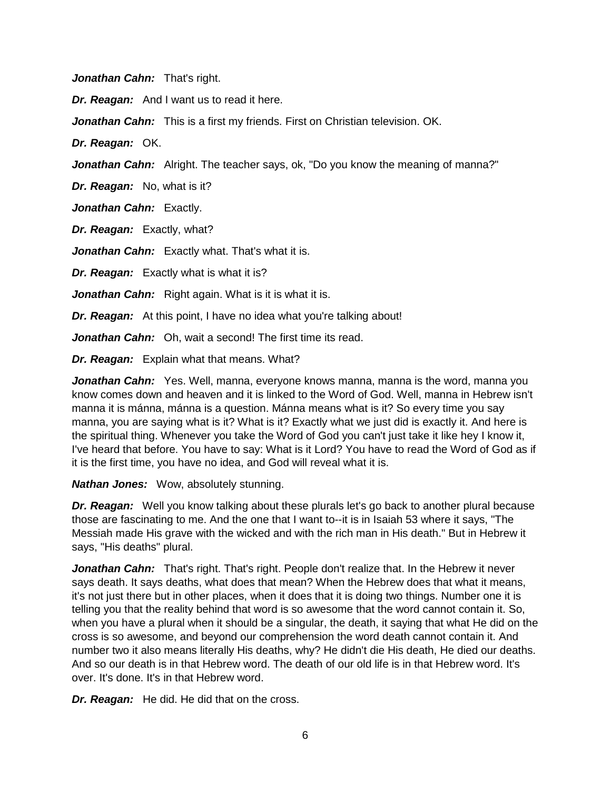*Jonathan Cahn:* That's right.

*Dr. Reagan:* And I want us to read it here.

*Jonathan Cahn:* This is a first my friends. First on Christian television. OK.

*Dr. Reagan:* OK.

*Jonathan Cahn:* Alright. The teacher says, ok, "Do you know the meaning of manna?"

*Dr. Reagan:* No, what is it?

*Jonathan Cahn:* Exactly.

*Dr. Reagan:* Exactly, what?

**Jonathan Cahn:** Exactly what. That's what it is.

*Dr. Reagan:* Exactly what is what it is?

*Jonathan Cahn:* Right again. What is it is what it is.

**Dr. Reagan:** At this point, I have no idea what you're talking about!

*Jonathan Cahn:* Oh, wait a second! The first time its read.

*Dr. Reagan:* Explain what that means. What?

*Jonathan Cahn:* Yes. Well, manna, everyone knows manna, manna is the word, manna you know comes down and heaven and it is linked to the Word of God. Well, manna in Hebrew isn't manna it is mánna, mánna is a question. Mánna means what is it? So every time you say manna, you are saying what is it? What is it? Exactly what we just did is exactly it. And here is the spiritual thing. Whenever you take the Word of God you can't just take it like hey I know it, I've heard that before. You have to say: What is it Lord? You have to read the Word of God as if it is the first time, you have no idea, and God will reveal what it is.

*Nathan Jones:* Wow, absolutely stunning.

*Dr. Reagan:* Well you know talking about these plurals let's go back to another plural because those are fascinating to me. And the one that I want to--it is in Isaiah 53 where it says, "The Messiah made His grave with the wicked and with the rich man in His death." But in Hebrew it says, "His deaths" plural.

**Jonathan Cahn:** That's right. That's right. People don't realize that. In the Hebrew it never says death. It says deaths, what does that mean? When the Hebrew does that what it means, it's not just there but in other places, when it does that it is doing two things. Number one it is telling you that the reality behind that word is so awesome that the word cannot contain it. So, when you have a plural when it should be a singular, the death, it saying that what He did on the cross is so awesome, and beyond our comprehension the word death cannot contain it. And number two it also means literally His deaths, why? He didn't die His death, He died our deaths. And so our death is in that Hebrew word. The death of our old life is in that Hebrew word. It's over. It's done. It's in that Hebrew word.

*Dr. Reagan:* He did. He did that on the cross.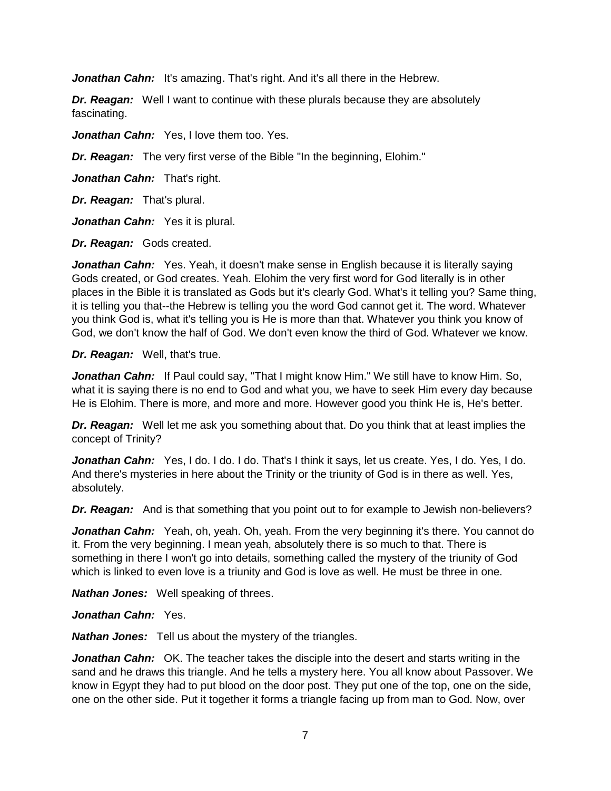*Jonathan Cahn:* It's amazing. That's right. And it's all there in the Hebrew.

*Dr. Reagan:* Well I want to continue with these plurals because they are absolutely fascinating.

*Jonathan Cahn:* Yes, I love them too. Yes.

*Dr. Reagan:* The very first verse of the Bible "In the beginning, Elohim."

*Jonathan Cahn:* That's right.

*Dr. Reagan:* That's plural.

*Jonathan Cahn:* Yes it is plural.

*Dr. Reagan:* Gods created.

*Jonathan Cahn:* Yes. Yeah, it doesn't make sense in English because it is literally saying Gods created, or God creates. Yeah. Elohim the very first word for God literally is in other places in the Bible it is translated as Gods but it's clearly God. What's it telling you? Same thing, it is telling you that--the Hebrew is telling you the word God cannot get it. The word. Whatever you think God is, what it's telling you is He is more than that. Whatever you think you know of God, we don't know the half of God. We don't even know the third of God. Whatever we know.

*Dr. Reagan:* Well, that's true.

*Jonathan Cahn:* If Paul could say, "That I might know Him." We still have to know Him. So, what it is saying there is no end to God and what you, we have to seek Him every day because He is Elohim. There is more, and more and more. However good you think He is, He's better.

*Dr. Reagan:* Well let me ask you something about that. Do you think that at least implies the concept of Trinity?

Jonathan Cahn: Yes, I do. I do. I do. That's I think it says, let us create. Yes, I do. Yes, I do. And there's mysteries in here about the Trinity or the triunity of God is in there as well. Yes, absolutely.

**Dr. Reagan:** And is that something that you point out to for example to Jewish non-believers?

*Jonathan Cahn:* Yeah, oh, yeah. Oh, yeah. From the very beginning it's there. You cannot do it. From the very beginning. I mean yeah, absolutely there is so much to that. There is something in there I won't go into details, something called the mystery of the triunity of God which is linked to even love is a triunity and God is love as well. He must be three in one.

*Nathan Jones:* Well speaking of threes.

*Jonathan Cahn:* Yes.

*Nathan Jones:* Tell us about the mystery of the triangles.

*Jonathan Cahn:* OK. The teacher takes the disciple into the desert and starts writing in the sand and he draws this triangle. And he tells a mystery here. You all know about Passover. We know in Egypt they had to put blood on the door post. They put one of the top, one on the side, one on the other side. Put it together it forms a triangle facing up from man to God. Now, over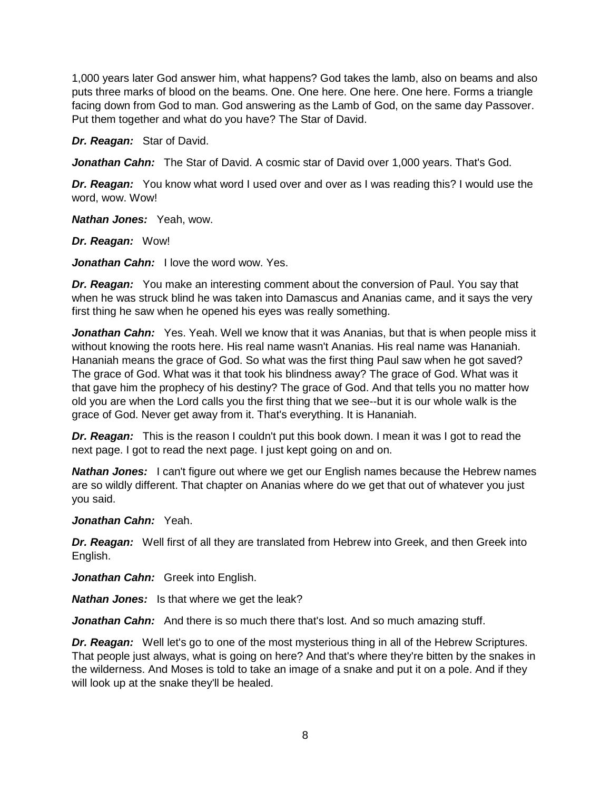1,000 years later God answer him, what happens? God takes the lamb, also on beams and also puts three marks of blood on the beams. One. One here. One here. One here. Forms a triangle facing down from God to man. God answering as the Lamb of God, on the same day Passover. Put them together and what do you have? The Star of David.

*Dr. Reagan:* Star of David.

Jonathan Cahn: The Star of David. A cosmic star of David over 1,000 years. That's God.

*Dr. Reagan:* You know what word I used over and over as I was reading this? I would use the word, wow. Wow!

*Nathan Jones:* Yeah, wow.

*Dr. Reagan:* Wow!

*Jonathan Cahn:* I love the word wow. Yes.

*Dr. Reagan:* You make an interesting comment about the conversion of Paul. You say that when he was struck blind he was taken into Damascus and Ananias came, and it says the very first thing he saw when he opened his eyes was really something.

*Jonathan Cahn:* Yes. Yeah. Well we know that it was Ananias, but that is when people miss it without knowing the roots here. His real name wasn't Ananias. His real name was Hananiah. Hananiah means the grace of God. So what was the first thing Paul saw when he got saved? The grace of God. What was it that took his blindness away? The grace of God. What was it that gave him the prophecy of his destiny? The grace of God. And that tells you no matter how old you are when the Lord calls you the first thing that we see--but it is our whole walk is the grace of God. Never get away from it. That's everything. It is Hananiah.

*Dr. Reagan:* This is the reason I couldn't put this book down. I mean it was I got to read the next page. I got to read the next page. I just kept going on and on.

*Nathan Jones:* I can't figure out where we get our English names because the Hebrew names are so wildly different. That chapter on Ananias where do we get that out of whatever you just you said.

## *Jonathan Cahn:* Yeah.

*Dr. Reagan:* Well first of all they are translated from Hebrew into Greek, and then Greek into English.

*Jonathan Cahn:* Greek into English.

*Nathan Jones:* Is that where we get the leak?

Jonathan Cahn: And there is so much there that's lost. And so much amazing stuff.

*Dr. Reagan:* Well let's go to one of the most mysterious thing in all of the Hebrew Scriptures. That people just always, what is going on here? And that's where they're bitten by the snakes in the wilderness. And Moses is told to take an image of a snake and put it on a pole. And if they will look up at the snake they'll be healed.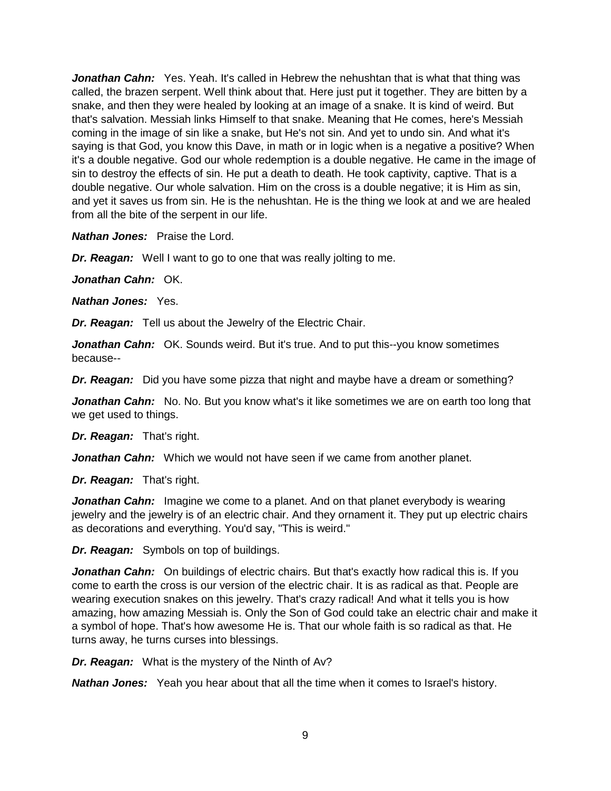Jonathan Cahn: Yes. Yeah. It's called in Hebrew the nehushtan that is what that thing was called, the brazen serpent. Well think about that. Here just put it together. They are bitten by a snake, and then they were healed by looking at an image of a snake. It is kind of weird. But that's salvation. Messiah links Himself to that snake. Meaning that He comes, here's Messiah coming in the image of sin like a snake, but He's not sin. And yet to undo sin. And what it's saying is that God, you know this Dave, in math or in logic when is a negative a positive? When it's a double negative. God our whole redemption is a double negative. He came in the image of sin to destroy the effects of sin. He put a death to death. He took captivity, captive. That is a double negative. Our whole salvation. Him on the cross is a double negative; it is Him as sin, and yet it saves us from sin. He is the nehushtan. He is the thing we look at and we are healed from all the bite of the serpent in our life.

*Nathan Jones:* Praise the Lord.

*Dr. Reagan:* Well I want to go to one that was really jolting to me.

*Jonathan Cahn:* OK.

*Nathan Jones:* Yes.

*Dr. Reagan:* Tell us about the Jewelry of the Electric Chair.

**Jonathan Cahn:** OK. Sounds weird. But it's true. And to put this--you know sometimes because--

*Dr. Reagan:* Did you have some pizza that night and maybe have a dream or something?

**Jonathan Cahn:** No. No. But you know what's it like sometimes we are on earth too long that we get used to things.

*Dr. Reagan:* That's right.

*Jonathan Cahn:* Which we would not have seen if we came from another planet.

*Dr. Reagan:* That's right.

*Jonathan Cahn:* Imagine we come to a planet. And on that planet everybody is wearing jewelry and the jewelry is of an electric chair. And they ornament it. They put up electric chairs as decorations and everything. You'd say, "This is weird."

*Dr. Reagan:* Symbols on top of buildings.

**Jonathan Cahn:** On buildings of electric chairs. But that's exactly how radical this is. If you come to earth the cross is our version of the electric chair. It is as radical as that. People are wearing execution snakes on this jewelry. That's crazy radical! And what it tells you is how amazing, how amazing Messiah is. Only the Son of God could take an electric chair and make it a symbol of hope. That's how awesome He is. That our whole faith is so radical as that. He turns away, he turns curses into blessings.

*Dr. Reagan:* What is the mystery of the Ninth of Av?

*Nathan Jones:* Yeah you hear about that all the time when it comes to Israel's history.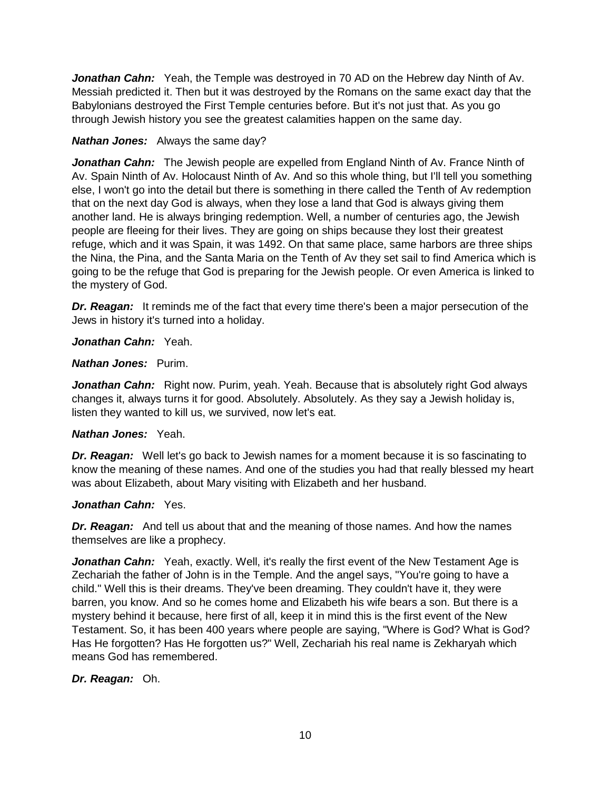*Jonathan Cahn:* Yeah, the Temple was destroyed in 70 AD on the Hebrew day Ninth of Av. Messiah predicted it. Then but it was destroyed by the Romans on the same exact day that the Babylonians destroyed the First Temple centuries before. But it's not just that. As you go through Jewish history you see the greatest calamities happen on the same day.

# *Nathan Jones:* Always the same day?

*Jonathan Cahn:* The Jewish people are expelled from England Ninth of Av. France Ninth of Av. Spain Ninth of Av. Holocaust Ninth of Av. And so this whole thing, but I'll tell you something else, I won't go into the detail but there is something in there called the Tenth of Av redemption that on the next day God is always, when they lose a land that God is always giving them another land. He is always bringing redemption. Well, a number of centuries ago, the Jewish people are fleeing for their lives. They are going on ships because they lost their greatest refuge, which and it was Spain, it was 1492. On that same place, same harbors are three ships the Nina, the Pina, and the Santa Maria on the Tenth of Av they set sail to find America which is going to be the refuge that God is preparing for the Jewish people. Or even America is linked to the mystery of God.

**Dr. Reagan:** It reminds me of the fact that every time there's been a major persecution of the Jews in history it's turned into a holiday.

## *Jonathan Cahn:* Yeah.

#### *Nathan Jones:* Purim.

**Jonathan Cahn:** Right now. Purim, yeah. Yeah. Because that is absolutely right God always changes it, always turns it for good. Absolutely. Absolutely. As they say a Jewish holiday is, listen they wanted to kill us, we survived, now let's eat.

## *Nathan Jones:* Yeah.

*Dr. Reagan:* Well let's go back to Jewish names for a moment because it is so fascinating to know the meaning of these names. And one of the studies you had that really blessed my heart was about Elizabeth, about Mary visiting with Elizabeth and her husband.

#### *Jonathan Cahn:* Yes.

**Dr. Reagan:** And tell us about that and the meaning of those names. And how the names themselves are like a prophecy.

**Jonathan Cahn:** Yeah, exactly. Well, it's really the first event of the New Testament Age is Zechariah the father of John is in the Temple. And the angel says, "You're going to have a child." Well this is their dreams. They've been dreaming. They couldn't have it, they were barren, you know. And so he comes home and Elizabeth his wife bears a son. But there is a mystery behind it because, here first of all, keep it in mind this is the first event of the New Testament. So, it has been 400 years where people are saying, "Where is God? What is God? Has He forgotten? Has He forgotten us?" Well, Zechariah his real name is Zekharyah which means God has remembered.

## *Dr. Reagan:* Oh.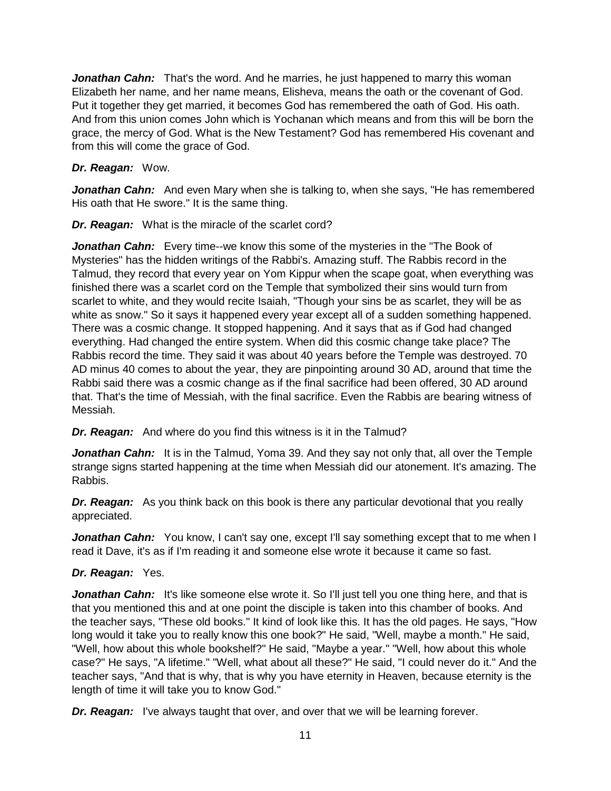**Jonathan Cahn:** That's the word. And he marries, he just happened to marry this woman Elizabeth her name, and her name means, Elisheva, means the oath or the covenant of God. Put it together they get married, it becomes God has remembered the oath of God. His oath. And from this union comes John which is Yochanan which means and from this will be born the grace, the mercy of God. What is the New Testament? God has remembered His covenant and from this will come the grace of God.

## *Dr. Reagan:* Wow.

*Jonathan Cahn:* And even Mary when she is talking to, when she says, "He has remembered His oath that He swore." It is the same thing.

*Dr. Reagan:* What is the miracle of the scarlet cord?

*Jonathan Cahn:* Every time--we know this some of the mysteries in the "The Book of Mysteries" has the hidden writings of the Rabbi's. Amazing stuff. The Rabbis record in the Talmud, they record that every year on Yom Kippur when the scape goat, when everything was finished there was a scarlet cord on the Temple that symbolized their sins would turn from scarlet to white, and they would recite Isaiah, "Though your sins be as scarlet, they will be as white as snow." So it says it happened every year except all of a sudden something happened. There was a cosmic change. It stopped happening. And it says that as if God had changed everything. Had changed the entire system. When did this cosmic change take place? The Rabbis record the time. They said it was about 40 years before the Temple was destroyed. 70 AD minus 40 comes to about the year, they are pinpointing around 30 AD, around that time the Rabbi said there was a cosmic change as if the final sacrifice had been offered, 30 AD around that. That's the time of Messiah, with the final sacrifice. Even the Rabbis are bearing witness of Messiah.

*Dr. Reagan:* And where do you find this witness is it in the Talmud?

*Jonathan Cahn:* It is in the Talmud, Yoma 39. And they say not only that, all over the Temple strange signs started happening at the time when Messiah did our atonement. It's amazing. The Rabbis.

*Dr. Reagan:* As you think back on this book is there any particular devotional that you really appreciated.

Jonathan Cahn: You know, I can't say one, except I'll say something except that to me when I read it Dave, it's as if I'm reading it and someone else wrote it because it came so fast.

# *Dr. Reagan:* Yes.

**Jonathan Cahn:** It's like someone else wrote it. So I'll just tell you one thing here, and that is that you mentioned this and at one point the disciple is taken into this chamber of books. And the teacher says, "These old books." It kind of look like this. It has the old pages. He says, "How long would it take you to really know this one book?" He said, "Well, maybe a month." He said, "Well, how about this whole bookshelf?" He said, "Maybe a year." "Well, how about this whole case?" He says, "A lifetime." "Well, what about all these?" He said, "I could never do it." And the teacher says, "And that is why, that is why you have eternity in Heaven, because eternity is the length of time it will take you to know God."

*Dr. Reagan:* I've always taught that over, and over that we will be learning forever.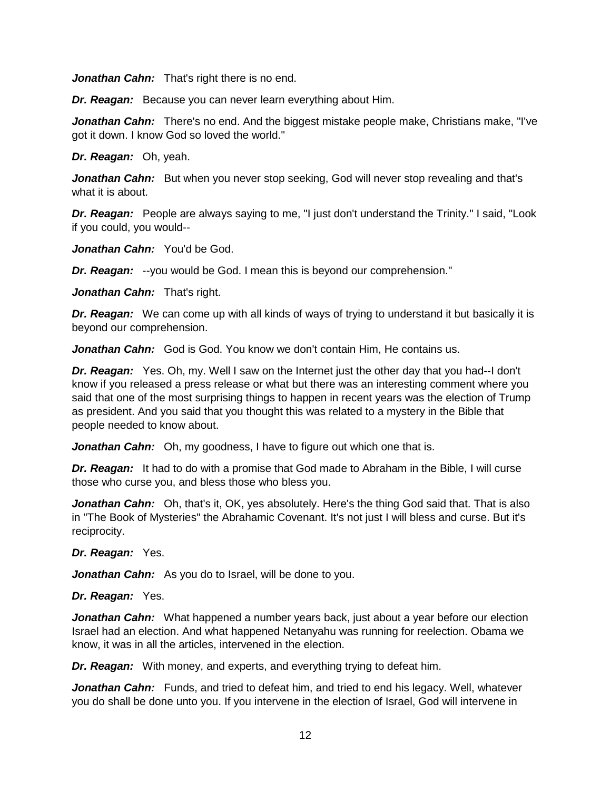*Jonathan Cahn:* That's right there is no end.

*Dr. Reagan:* Because you can never learn everything about Him.

Jonathan Cahn: There's no end. And the biggest mistake people make, Christians make, "I've got it down. I know God so loved the world."

*Dr. Reagan:* Oh, yeah.

*Jonathan Cahn:* But when you never stop seeking, God will never stop revealing and that's what it is about.

*Dr. Reagan:* People are always saying to me, "I just don't understand the Trinity." I said, "Look if you could, you would--

*Jonathan Cahn:* You'd be God.

*Dr. Reagan:* --you would be God. I mean this is beyond our comprehension."

*Jonathan Cahn:* That's right.

*Dr. Reagan:* We can come up with all kinds of ways of trying to understand it but basically it is beyond our comprehension.

*Jonathan Cahn:* God is God. You know we don't contain Him, He contains us.

*Dr. Reagan:* Yes. Oh, my. Well I saw on the Internet just the other day that you had--I don't know if you released a press release or what but there was an interesting comment where you said that one of the most surprising things to happen in recent years was the election of Trump as president. And you said that you thought this was related to a mystery in the Bible that people needed to know about.

**Jonathan Cahn:** Oh, my goodness, I have to figure out which one that is.

*Dr. Reagan:* It had to do with a promise that God made to Abraham in the Bible, I will curse those who curse you, and bless those who bless you.

**Jonathan Cahn:** Oh, that's it, OK, yes absolutely. Here's the thing God said that. That is also in "The Book of Mysteries" the Abrahamic Covenant. It's not just I will bless and curse. But it's reciprocity.

*Dr. Reagan:* Yes.

*Jonathan Cahn:* As you do to Israel, will be done to you.

#### *Dr. Reagan:* Yes.

*Jonathan Cahn:* What happened a number years back, just about a year before our election Israel had an election. And what happened Netanyahu was running for reelection. Obama we know, it was in all the articles, intervened in the election.

*Dr. Reagan:* With money, and experts, and everything trying to defeat him.

*Jonathan Cahn:* Funds, and tried to defeat him, and tried to end his legacy. Well, whatever you do shall be done unto you. If you intervene in the election of Israel, God will intervene in